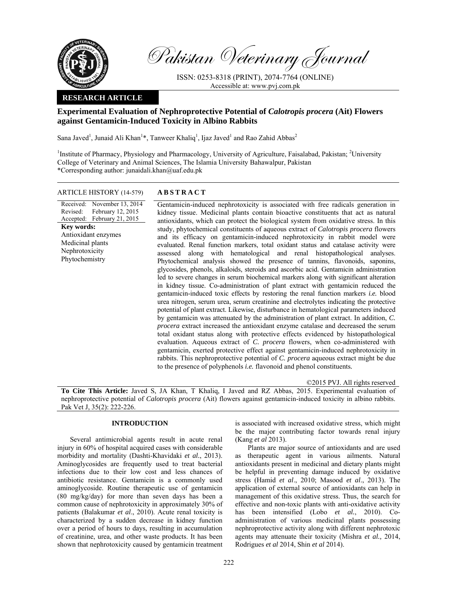

Pakistan Veterinary Journal

ISSN: 0253-8318 (PRINT), 2074-7764 (ONLINE) Accessible at: www.pvj.com.pk

## **RESEARCH ARTICLE**

# **Experimental Evaluation of Nephroprotective Potential of** *Calotropis procera* **(Ait) Flowers against Gentamicin-Induced Toxicity in Albino Rabbits**

Sana Javed<sup>1</sup>, Junaid Ali Khan<sup>1</sup>\*, Tanweer Khaliq<sup>1</sup>, Ijaz Javed<sup>1</sup> and Rao Zahid Abbas<sup>2</sup>

<sup>1</sup>Institute of Pharmacy, Physiology and Pharmacology, University of Agriculture, Faisalabad, Pakistan; <sup>2</sup>University College of Veterinary and Animal Sciences, The Islamia University Bahawalpur, Pakistan \*Corresponding author: junaidali.khan@uaf.edu.pk

## ARTICLE HISTORY (14-579) **ABSTRACT**

Received: Revised: Accepted: February 21, 2015 November 13, 2014 February 12, 2015 **Key words:**  Antioxidant enzymes Medicinal plants Nephrotoxicity Phytochemistry

 Gentamicin-induced nephrotoxicity is associated with free radicals generation in kidney tissue. Medicinal plants contain bioactive constituents that act as natural antioxidants, which can protect the biological system from oxidative stress. In this study, phytochemical constituents of aqueous extract of *Calotropis procera* flowers and its efficacy on gentamicin-induced nephrotoxicity in rabbit model were evaluated. Renal function markers, total oxidant status and catalase activity were assessed along with hematological and renal histopathological analyses. Phytochemical analysis showed the presence of tannins, flavonoids, saponins, glycosides, phenols, alkaloids, steroids and ascorbic acid. Gentamicin administration led to severe changes in serum biochemical markers along with significant alteration in kidney tissue. Co-administration of plant extract with gentamicin reduced the gentamicin-induced toxic effects by restoring the renal function markers *i.e.* blood urea nitrogen, serum urea, serum creatinine and electrolytes indicating the protective potential of plant extract. Likewise, disturbance in hematological parameters induced by gentamicin was attenuated by the administration of plant extract. In addition, *C. procera* extract increased the antioxidant enzyme catalase and decreased the serum total oxidant status along with protective effects evidenced by histopathological evaluation. Aqueous extract of *C. procera* flowers, when co-administered with gentamicin, exerted protective effect against gentamicin-induced nephrotoxicity in rabbits. This nephroprotective potential of *C. procera* aqueous extract might be due to the presence of polyphenols *i.e.* flavonoid and phenol constituents*.*

©2015 PVJ. All rights reserved

**To Cite This Article:** Javed S, JA Khan, T Khaliq, I Javed and RZ Abbas, 2015. Experimental evaluation of nephroprotective potential of *Calotropis procera* (Ait) flowers against gentamicin-induced toxicity in albino rabbits. Pak Vet J, 35(2): 222-226.

### **INTRODUCTION**

Several antimicrobial agents result in acute renal injury in 60% of hospital acquired cases with considerable morbidity and mortality (Dashti-Khavidaki *et al.*, 2013). Aminoglycosides are frequently used to treat bacterial infections due to their low cost and less chances of antibiotic resistance. Gentamicin is a commonly used aminoglycoside. Routine therapeutic use of gentamicin (80 mg/kg/day) for more than seven days has been a common cause of nephrotoxicity in approximately 30% of patients (Balakumar *et al*., 2010). Acute renal toxicity is characterized by a sudden decrease in kidney function over a period of hours to days, resulting in accumulation of creatinine, urea, and other waste products. It has been shown that nephrotoxicity caused by gentamicin treatment

is associated with increased oxidative stress, which might be the major contributing factor towards renal injury (Kang *et al* 2013).

Plants are major source of antioxidants and are used as therapeutic agent in various ailments. Natural antioxidants present in medicinal and dietary plants might be helpful in preventing damage induced by oxidative stress (Hamid *et al*., 2010; Masood *et al*., 2013). The application of external source of antioxidants can help in management of this oxidative stress. Thus, the search for effective and non-toxic plants with anti-oxidative activity has been intensified (Lobo *et al.*, 2010). Coadministration of various medicinal plants possessing nephroprotective activity along with different nephrotoxic agents may attenuate their toxicity (Mishra *et al.,* 2014, Rodrigues *et al* 2014, Shin *et al* 2014).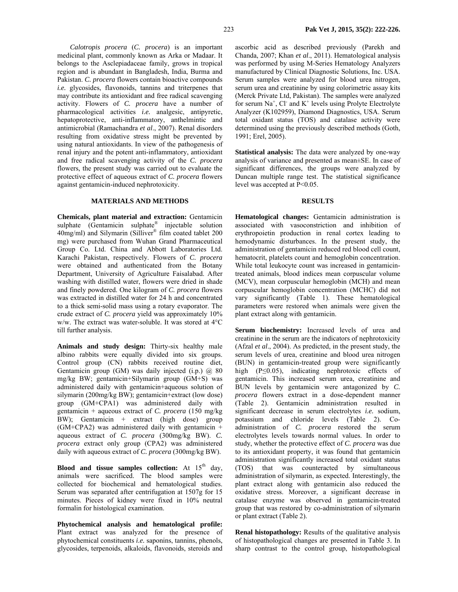*Calotropis procera* (*C. procera*) is an important medicinal plant, commonly known as Arka or Madaar. It belongs to the Asclepiadaceae family, grows in tropical region and is abundant in Bangladesh, India, Burma and Pakistan. *C. procera* flowers contain bioactive compounds *i.e.* glycosides, flavonoids, tannins and triterpenes that may contribute its antioxidant and free radical scavenging activity. Flowers of *C. procera* have a number of pharmacological activities *i.e.* analgesic, antipyretic, hepatoprotective, anti-inflammatory, anthelmintic and antimicrobial (Ramachandra *et al*., 2007). Renal disorders resulting from oxidative stress might be prevented by using natural antioxidants. In view of the pathogenesis of renal injury and the potent anti-inflammatory, antioxidant and free radical scavenging activity of the *C. procera*  flowers, the present study was carried out to evaluate the protective effect of aqueous extract of *C. procera* flowers against gentamicin-induced nephrotoxicity.

#### **MATERIALS AND METHODS**

**Chemicals, plant material and extraction:** Gentamicin sulphate (Gentamicin sulphate<sup>®</sup> injectable solution 40mg/ml) and Silymarin (Silliver® film coated tablet 200 mg) were purchased from Wuhan Grand Pharmaceutical Group Co. Ltd. China and Abbott Laboratories Ltd. Karachi Pakistan, respectively. Flowers of *C. procera*  were obtained and authenticated from the Botany Department, University of Agriculture Faisalabad. After washing with distilled water, flowers were dried in shade and finely powdered. One kilogram of *C. procera* flowers was extracted in distilled water for 24 h and concentrated to a thick semi-solid mass using a rotary evaporator. The crude extract of *C. procera* yield was approximately 10% w/w. The extract was water-soluble. It was stored at 4°C till further analysis.

**Animals and study design:** Thirty-six healthy male albino rabbits were equally divided into six groups. Control group (CN) rabbits received routine diet, Gentamicin group (GM) was daily injected (i.p.) @ 80 mg/kg BW; gentamicin+Silymarin group (GM+S) was administered daily with gentamicin+aqueous solution of silymarin (200mg/kg BW); gentamicin+extract (low dose) group (GM+CPA1) was administered daily with gentamicin + aqueous extract of *C. procera* (150 mg/kg BW); Gentamicin + extract (high dose) group  $(GM+CPA2)$  was administered daily with gentamicin + aqueous extract of *C. procera* (300mg/kg BW). *C. procera* extract only group (CPA2) was administered daily with aqueous extract of *C. procera* (300mg/kg BW).

**Blood and tissue samples collection:** At  $15<sup>th</sup>$  day, animals were sacrificed. The blood samples were collected for biochemical and hematological studies. Serum was separated after centrifugation at 1507g for 15 minutes. Pieces of kidney were fixed in 10% neutral formalin for histological examination.

**Phytochemical analysis and hematological profile:**  Plant extract was analyzed for the presence of phytochemical constituents *i.e.* saponins, tannins, phenols, glycosides, terpenoids, alkaloids, flavonoids, steroids and

ascorbic acid as described previously (Parekh and Chanda, 2007; Khan *et al*., 2011). Hematological analysis was performed by using M-Series Hematology Analyzers manufactured by Clinical Diagnostic Solutions, Inc. USA. Serum samples were analyzed for blood urea nitrogen, serum urea and creatinine by using colorimetric assay kits (Merck Private Ltd, Pakistan). The samples were analyzed for serum  $Na<sup>+</sup>$ , Cl and K<sup>+</sup> levels using Prolyte Electrolyte Analyzer (K102959), Diamond Diagnostics, USA. Serum total oxidant status (TOS) and catalase activity were determined using the previously described methods (Goth, 1991; Erel, 2005).

**Statistical analysis:** The data were analyzed by one-way analysis of variance and presented as mean±SE. In case of significant differences, the groups were analyzed by Duncan multiple range test. The statistical significance level was accepted at P<0.05.

#### **RESULTS**

**Hematological changes:** Gentamicin administration is associated with vasoconstriction and inhibition of erythropoietin production in renal cortex leading to hemodynamic disturbances. In the present study, the administration of gentamicin reduced red blood cell count, hematocrit, platelets count and hemoglobin concentration. While total leukocyte count was increased in gentamicintreated animals, blood indices mean corpuscular volume (MCV), mean corpuscular hemoglobin (MCH) and mean corpuscular hemoglobin concentration (MCHC) did not vary significantly (Table 1). These hematological parameters were restored when animals were given the plant extract along with gentamicin.

**Serum biochemistry:** Increased levels of urea and creatinine in the serum are the indicators of nephrotoxicity (Afzal *et al*., 2004). As predicted, in the present study, the serum levels of urea, creatinine and blood urea nitrogen (BUN) in gentamicin-treated group were significantly high (P≤0.05), indicating nephrotoxic effects of gentamicin. This increased serum urea, creatinine and BUN levels by gentamicin were antagonized by *C. procera* flowers extract in a dose-dependent manner (Table 2). Gentamicin administration resulted in significant decrease in serum electrolytes *i.e.* sodium, potassium and chloride levels (Table 2). Coadministration of *C. procera* restored the serum electrolytes levels towards normal values. In order to study, whether the protective effect of *C. procera* was due to its antioxidant property, it was found that gentamicin administration significantly increased total oxidant status (TOS) that was counteracted by simultaneous administration of silymarin, as expected. Interestingly, the plant extract along with gentamicin also reduced the oxidative stress. Moreover, a significant decrease in catalase enzyme was observed in gentamicin-treated group that was restored by co-administration of silymarin or plant extract (Table 2).

**Renal histopathology:** Results of the qualitative analysis of histopathological changes are presented in Table 3. In sharp contrast to the control group, histopathological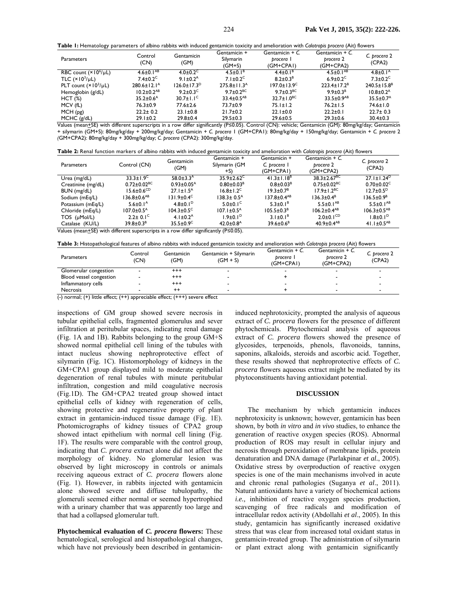**Table 1:** Hematology parameters of albino rabbits with induced gentamicin toxicity and amelioration with *Calotropis procera* (Ait) flowers

| <b>Parameters</b>               | Control<br>(CN)             | Gentamicin<br>(GM)         | Gentamicin +<br>Silymarin<br>(GM+S) | Gentamicin + C.<br>procera I<br>(GM+CPAI) | Gentamicin + C.<br>procera 2<br>(GM+CPA2) | C. procera 2<br>(CPA2)     |
|---------------------------------|-----------------------------|----------------------------|-------------------------------------|-------------------------------------------|-------------------------------------------|----------------------------|
| RBC count $(x 106/\mu L)$       | $4.6 \pm 0.1^{AB}$          | $4.0 \pm 0.2$ <sup>C</sup> | $4.5 \pm 0.1^8$                     | $4.4 \pm 0.1^B$                           | $4.5 \pm 0.1^{AB}$                        | $4.8 \pm 0.1^{\circ}$      |
| TLC $(\times 10^3/\mu L)$       | $7.4\pm0.2$ <sup>C</sup>    | 9.1 $\pm$ 0.2 <sup>A</sup> | $7.1 \pm 0.2$ <sup>C</sup>          | $8.2 \pm 0.3^B$                           | $6.9 \pm 0.2$ <sup>C</sup>                | $7.3 \pm 0.2$ <sup>C</sup> |
| PLT count $(\times 10^3/\mu L)$ | $280.6 \pm 12.1^{\circ}$    | $126.0 \pm 17.3^D$         | $275.8 \pm 11.3$ <sup>A</sup>       | $197.0 \pm 13.9^{\circ}$                  | $223.4 \pm 17.2^B$                        | $240.5 \pm 15.8^8$         |
| Hemoglobin (g/dL)               | $10.2 \pm 0.2^{AB}$         | $9.2 \pm 0.3$ <sup>C</sup> | 9.7+0.2 <sup>BC</sup>               | 9.7 $\pm$ 0.3 <sup>BC</sup>               | $9.9 \pm 0.3^8$                           | $10.8 \pm 0.2^{\text{A}}$  |
| HCT(%)                          | $35.2 \pm 0.6$ <sup>A</sup> | $30.7 \pm 1.1^{\circ}$     | $33.4 \pm 0.5^{AB}$                 | $32.7 \pm 1.0^{BC}$                       | $33.5 \pm 0.9^{AB}$                       | $35.5 \pm 0.7^{\text{A}}$  |
| MCV (fL)                        | 76.3±0.9                    | 77.6±2.6                   | 73.7±0.9                            | $75.1 \pm 1.2$                            | $76.2 \pm 1.5$                            | 74.6±1.0                   |
| MCH(pg)                         | $22.2 \pm 0.2$              | $23.1 \pm 0.8$             | $21.7 \pm 0.2$                      | $22.1 \pm 0.0$                            | $22.2 \pm 0.1$                            | $22.7 \pm 0.3$             |
| $MCHC$ ( $g/dL$ )               | $29.1 \pm 0.2$              | $29.8 \pm 0.4$             | $29.5 \pm 0.3$                      | $29.6 \pm 0.5$                            | $29.3 \pm 0.6$                            | $30.4 \pm 0.3$             |

Values (mean+SE) with different superscripts in a row differ significantly (P≤0.05). Control (CN): vehicle; Gentamicin (GM): 80mg/kg/day; Gentamicin + silymarin (GM+S): 80mg/kg/day + 200mg/kg/day; Gentamicin + *C. procera* 1 (GM+CPA1): 80mg/kg/day + 150mg/kg/day; Gentamicin + *C. procera* 2 *(*GM+CPA2): 80mg/kg/day + 300mg/kg/day; *C. procera* (CPA2): 300mg/kg/day.

| Table 2: Renal function markers of albino rabbits with induced gentamicin toxicity and amelioration with Calotropis procera (Ait) flowers |  |  |
|-------------------------------------------------------------------------------------------------------------------------------------------|--|--|
|-------------------------------------------------------------------------------------------------------------------------------------------|--|--|

| <b>Parameters</b>                                                                                              | Control (CN)                 | Gentamicin<br>(GM)           | Gentamicin +<br>Silymarin (GM<br>+S) | Gentamicin +<br>C. procera 1<br>(GM+CPAI) | Gentamicin $+ C$<br>procera 2<br>(GM+CPA2) | C. procera 2<br>(CPA2)       |  |
|----------------------------------------------------------------------------------------------------------------|------------------------------|------------------------------|--------------------------------------|-------------------------------------------|--------------------------------------------|------------------------------|--|
| Urea (mg/dL)                                                                                                   | $33.3 \pm 1.9$               | $58.0 \pm 3.3^{\circ}$       | $35.9 \pm 2.62$ <sup>C</sup>         | $41.3 \pm 1.18^{B}$                       | $38.3 \pm 2.67^{\text{BC}}$                | $27.1 \pm 1.24^D$            |  |
| Creatinine (mg/dL)                                                                                             | $0.72 \pm 0.02^{\rm BC}$     | $0.93 \pm 0.05^{\text{A}}$   | $0.80 \pm 0.03^8$                    | $0.8 \pm 0.03^{\text{B}}$                 | $0.75 \pm 0.02$ <sup>BC</sup>              | $0.70 \pm 0.02$ <sup>C</sup> |  |
| BUN (mg/dL)                                                                                                    | $15.6 \pm 0.6^{\text{CD}}$   | $27.1 \pm 1.5^{\text{A}}$    | $16.8 \pm 1.2^{\circ}$               | $19.3 \pm 0.7^{\rm B}$                    | $17.9 \pm 1.2^{BC}$                        | $12.7 \pm 0.5^{\circ}$       |  |
| Sodium (mEg/L)                                                                                                 | $136.8 \pm 0.6^{AB}$         | $131.9 \pm 0.4$ <sup>C</sup> | $138.3 \pm 0.5^{\circ}$              | $137.8 \pm 0.4^{AB}$                      | $136.3 \pm 0.4^B$                          | $136.5 \pm 0.9^B$            |  |
| Potassium (mEq/L)                                                                                              | $5.6 \pm 0.1^{\circ}$        | 4.8 $\pm$ 0.1 <sup>D</sup>   | $5.0 \pm 0.1$ <sup>C</sup>           | $5.3 \pm 0.1^8$                           | $5.5 \pm 0.1^{AB}$                         | $5.5 \pm 0.1^{AB}$           |  |
| Chloride (mEq/L)                                                                                               | $107.0 \pm 0.5$ <sup>A</sup> | $104.3 \pm 0.5$ <sup>C</sup> | $107.1 \pm 0.5^{\text{A}}$           | $105.5 \pm 0.3^8$                         | $106.2 \pm 0.4^{AB}$                       | $106.3 \pm 0.5^{AB}$         |  |
| TOS (µMol/L)                                                                                                   | $2.2 + 0.1^{\circ}$          | 4.1+0.2 <sup>A</sup>         | $1.9 + 0.1^D$                        | $3.1 \pm 0.1^8$                           | $2.0 \pm 0.1$ <sup>CD</sup>                | $1.8 \pm 0.1$ <sup>D</sup>   |  |
| Catalase (KU/L)                                                                                                | $39.8 \pm 0.3^8$             | $35.5 \pm 0.9$ <sup>C</sup>  | $42.0 \pm 0.8$ <sup>A</sup>          | $39.6 \pm 0.6^8$                          | $40.9 \pm 0.4^{AB}$                        | 41.1 $\pm$ 0.5 <sup>AB</sup> |  |
| ۱۸۵۱ (صدر در داخل ده داشته به مالکتاب در داخل داخل داخل در داخل داخل داخل داخل داخل داخل ده در داخل است.) به د |                              |                              |                                      |                                           |                                            |                              |  |

Values (mean<sup>+</sup>SE) with different superscripts in a row differ significantly (P≤0.05).

|  |  |  |  |  | Table 3: Histopathological features of albino rabbits with induced gentamicin toxicity and amelioration with Calotropis procera (Ait) flowers |  |  |  |
|--|--|--|--|--|-----------------------------------------------------------------------------------------------------------------------------------------------|--|--|--|
|--|--|--|--|--|-----------------------------------------------------------------------------------------------------------------------------------------------|--|--|--|

| <b>Parameters</b>                                          | Control<br>(CN)                              | Gentamicin<br>(GM)       | Gentamicin + Silymarin<br>$(GM + S)$ | Gentamicin + C.<br>brocera  <br>(GM+CPAI) | Gentamicin $+ C$ .<br>brocera 2<br>(GM+CPA2) | C. procera 2<br>(CPA2) |
|------------------------------------------------------------|----------------------------------------------|--------------------------|--------------------------------------|-------------------------------------------|----------------------------------------------|------------------------|
| Glomerular congestion                                      |                                              | +++                      |                                      |                                           |                                              |                        |
| Blood vessel congestion                                    |                                              | $^{+++}$                 |                                      |                                           |                                              |                        |
| Inflammatory cells                                         |                                              | $^{+++}$                 |                                      |                                           |                                              |                        |
| <b>Necrosis</b><br>$\sim$<br>.<br>$\overline{\phantom{a}}$ | $\sim$ $\sim$ $\sim$ $\sim$<br>$\sim$ $\sim$ | $^{++}$<br>$\sim$ $\sim$ | $\overline{\phantom{a}}$             |                                           |                                              |                        |

 $\overline{(-)}$  normal;  $(+)$  little effect;  $(++)$  appreciable effect;  $(+++)$  severe effect

inspections of GM group showed severe necrosis in tubular epithelial cells, fragmented glomerulus and sever infiltration at peritubular spaces, indicating renal damage (Fig. 1A and 1B). Rabbits belonging to the group GM+S showed normal epithelial cell lining of the tubules with intact nucleus showing nephroprotective effect of silymarin (Fig. 1C). Histomorphology of kidneys in the GM+CPA1 group displayed mild to moderate epithelial degeneration of renal tubules with minute peritubular infiltration, congestion and mild coagulative necrosis (Fig.1D). The GM+CPA2 treated group showed intact epithelial cells of kidney with regeneration of cells, showing protective and regenerative property of plant extract in gentamicin-induced tissue damage (Fig. 1E). Photomicrographs of kidney tissues of CPA2 group showed intact epithelium with normal cell lining (Fig. 1F). The results were comparable with the control group, indicating that *C. procera* extract alone did not affect the morphology of kidney. No glomerular lesion was observed by light microscopy in controls or animals receiving aqueous extract of *C. procera* flowers alone (Fig. 1). However, in rabbits injected with gentamicin alone showed severe and diffuse tubulopathy, the glomeruli seemed either normal or seemed hypertrophied with a urinary chamber that was apparently too large and that had a collapsed glomerular tuft.

**Phytochemical evaluation of** *C. procera* **flowers:** These hematological, serological and histopathological changes, which have not previously been described in gentamicin-

induced nephrotoxicity, prompted the analysis of aqueous extract of *C. procera* flowers for the presence of different phytochemicals. Phytochemical analysis of aqueous extract of *C. procera* flowers showed the presence of glycosides, terpenoids, phenols, flavonoids, tannins, saponins, alkaloids, steroids and ascorbic acid. Together, these results showed that nephroprotective effects of *C. procera* flowers aqueous extract might be mediated by its phytoconstituents having antioxidant potential.

### **DISCUSSION**

The mechanism by which gentamicin induces nephrotoxicity is unknown; however, gentamicin has been shown, by both *in vitro* and *in vivo* studies, to enhance the generation of reactive oxygen species (ROS). Abnormal production of ROS may result in cellular injury and necrosis through peroxidation of membrane lipids, protein denaturation and DNA damage (Parlakpinar *et al.*, 2005). Oxidative stress by overproduction of reactive oxygen species is one of the main mechanisms involved in acute and chronic renal pathologies (Suganya *et al*., 2011). Natural antioxidants have a variety of biochemical actions *i.e.,* inhibition of reactive oxygen species production, scavenging of free radicals and modification of intracellular redox activity (Abdollahi *et al*., 2005). In this study, gentamicin has significantly increased oxidative stress that was clear from increased total oxidant status in gentamicin-treated group. The administration of silymarin or plant extract along with gentamicin significantly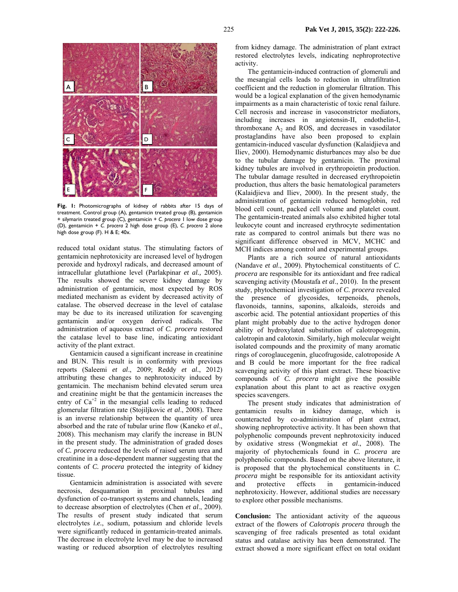

**Fig. 1:** Photomicrographs of kidney of rabbits after 15 days of treatment. Control group (A), gentamicin treated group (B), gentamicin + silymarin treated group (C), gentamicin + *C. procera* 1 low dose group (D), gentamicin + *C. procera* 2 high dose group (E), *C. procera* 2 alone high dose group (F). H & E; 40x.

reduced total oxidant status. The stimulating factors of gentamicin nephrotoxicity are increased level of hydrogen peroxide and hydroxyl radicals, and decreased amount of intracellular glutathione level (Parlakpinar *et al.,* 2005). The results showed the severe kidney damage by administration of gentamicin, most expected by ROS mediated mechanism as evident by decreased activity of catalase. The observed decrease in the level of catalase may be due to its increased utilization for scavenging gentamicin and/or oxygen derived radicals. The administration of aqueous extract of *C. procera* restored the catalase level to base line, indicating antioxidant activity of the plant extract.

Gentamicin caused a significant increase in creatinine and BUN. This result is in conformity with previous reports (Saleemi *et al*., 2009; Reddy *et al.*, 2012) attributing these changes to nephrotoxicity induced by gentamicin. The mechanism behind elevated serum urea and creatinine might be that the gentamicin increases the entry of  $Ca^{+2}$  in the mesangial cells leading to reduced glomerular filtration rate (Stojiljkovic *et al*., 2008). There is an inverse relationship between the quantity of urea absorbed and the rate of tubular urine flow (Kaneko *et al*., 2008). This mechanism may clarify the increase in BUN in the present study. The administration of graded doses of *C. procera* reduced the levels of raised serum urea and creatinine in a dose-dependent manner suggesting that the contents of *C. procera* protected the integrity of kidney tissue.

Gentamicin administration is associated with severe necrosis, desquamation in proximal tubules and dysfunction of co-transport systems and channels, leading to decrease absorption of electrolytes (Chen *et al*., 2009). The results of present study indicated that serum electrolytes *i.e.*, sodium, potassium and chloride levels were significantly reduced in gentamicin-treated animals. The decrease in electrolyte level may be due to increased wasting or reduced absorption of electrolytes resulting from kidney damage. The administration of plant extract restored electrolytes levels, indicating nephroprotective activity.

The gentamicin-induced contraction of glomeruli and the mesangial cells leads to reduction in ultrafiltration coefficient and the reduction in glomerular filtration. This would be a logical explanation of the given hemodynamic impairments as a main characteristic of toxic renal failure. Cell necrosis and increase in vasoconstrictor mediators, including increases in angiotensin-II, endothelin-I, thromboxane  $A_2$  and ROS, and decreases in vasodilator prostaglandins have also been proposed to explain gentamicin-induced vascular dysfunction (Kalaidjieva and Iliev, 2000). Hemodynamic disturbances may also be due to the tubular damage by gentamicin. The proximal kidney tubules are involved in erythropoietin production. The tubular damage resulted in decreased erythropoietin production, thus alters the basic hematological parameters (Kalaidjieva and Iliev, 2000). In the present study, the administration of gentamicin reduced hemoglobin, red blood cell count, packed cell volume and platelet count. The gentamicin-treated animals also exhibited higher total leukocyte count and increased erythrocyte sedimentation rate as compared to control animals but there was no significant difference observed in MCV, MCHC and MCH indices among control and experimental groups.

Plants are a rich source of natural antioxidants (Nandave *et al*., 2009). Phytochemical constituents of *C. procera* are responsible for its antioxidant and free radical scavenging activity (Moustafa *et al*., 2010). In the present study, phytochemical investigation of *C. procera* revealed the presence of glycosides, terpenoids, phenols, flavonoids, tannins, saponins, alkaloids, steroids and ascorbic acid. The potential antioxidant properties of this plant might probably due to the active hydrogen donor ability of hydroxylated substitution of calotropogenin, calotropin and calotoxin. Similarly, high molecular weight isolated compounds and the proximity of many aromatic rings of coroglaucegenin, glucofrugoside, calotroposide A and B could be more important for the free radical scavenging activity of this plant extract. These bioactive compounds of *C. procera* might give the possible explanation about this plant to act as reactive oxygen species scavengers.

The present study indicates that administration of gentamicin results in kidney damage, which is counteracted by co-administration of plant extract, showing nephroprotective activity. It has been shown that polyphenolic compounds prevent nephrotoxicity induced by oxidative stress (Wongmekiat *et al*., 2008). The majority of phytochemicals found in *C. procera* are polyphenolic compounds. Based on the above literature, it is proposed that the phytochemical constituents in *C. procera* might be responsible for its antioxidant activity and protective effects in gentamicin-induced nephrotoxicity. However, additional studies are necessary to explore other possible mechanisms.

**Conclusion:** The antioxidant activity of the aqueous extract of the flowers of *Calotropis procera* through the scavenging of free radicals presented as total oxidant status and catalase activity has been demonstrated. The extract showed a more significant effect on total oxidant